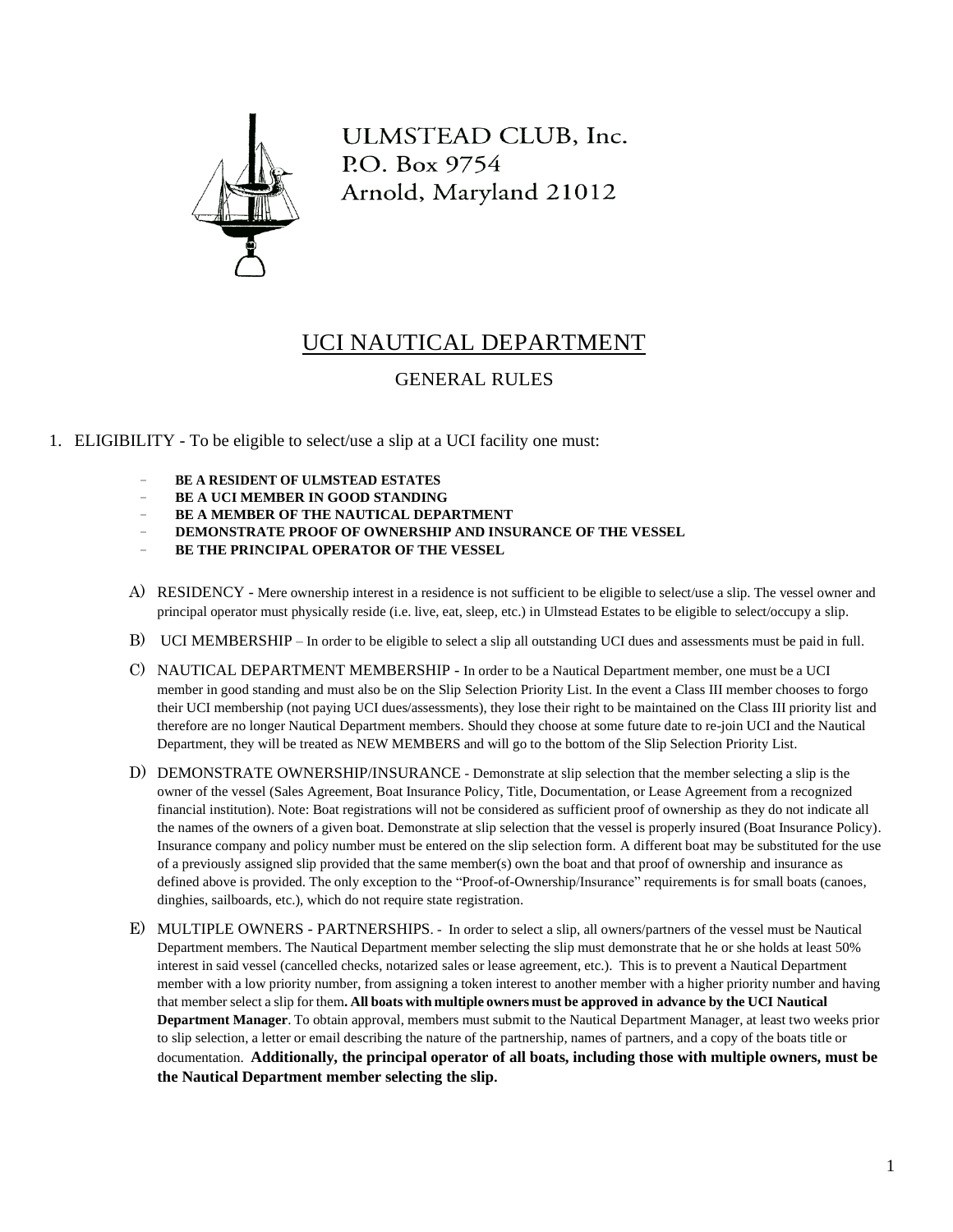

ULMSTEAD CLUB, Inc. P.O. Box 9754 Arnold, Maryland 21012

## UCI NAUTICAL DEPARTMENT

## GENERAL RULES

- 1. ELIGIBILITY To be eligible to select/use a slip at a UCI facility one must:
	- **BE A RESIDENT OF ULMSTEAD ESTATES**
	- **BE A UCI MEMBER IN GOOD STANDING**
	- **BE A MEMBER OF THE NAUTICAL DEPARTMENT**
	- − **DEMONSTRATE PROOF OF OWNERSHIP AND INSURANCE OF THE VESSEL**
	- **BE THE PRINCIPAL OPERATOR OF THE VESSEL**
	- A) RESIDENCY Mere ownership interest in a residence is not sufficient to be eligible to select/use a slip. The vessel owner and principal operator must physically reside (i.e. live, eat, sleep, etc.) in Ulmstead Estates to be eligible to select/occupy a slip.
	- B) UCI MEMBERSHIP In order to be eligible to select a slip all outstanding UCI dues and assessments must be paid in full.
	- C) NAUTICAL DEPARTMENT MEMBERSHIP In order to be a Nautical Department member, one must be a UCI member in good standing and must also be on the Slip Selection Priority List. In the event a Class III member chooses to forgo their UCI membership (not paying UCI dues/assessments), they lose their right to be maintained on the Class III priority list and therefore are no longer Nautical Department members. Should they choose at some future date to re-join UCI and the Nautical Department, they will be treated as NEW MEMBERS and will go to the bottom of the Slip Selection Priority List.
	- D) DEMONSTRATE OWNERSHIP/INSURANCE Demonstrate at slip selection that the member selecting a slip is the owner of the vessel (Sales Agreement, Boat Insurance Policy, Title, Documentation, or Lease Agreement from a recognized financial institution). Note: Boat registrations will not be considered as sufficient proof of ownership as they do not indicate all the names of the owners of a given boat. Demonstrate at slip selection that the vessel is properly insured (Boat Insurance Policy). Insurance company and policy number must be entered on the slip selection form. A different boat may be substituted for the use of a previously assigned slip provided that the same member(s) own the boat and that proof of ownership and insurance as defined above is provided. The only exception to the "Proof-of-Ownership/Insurance" requirements is for small boats (canoes, dinghies, sailboards, etc.), which do not require state registration.
	- E) MULTIPLE OWNERS PARTNERSHIPS. In order to select a slip, all owners/partners of the vessel must be Nautical Department members. The Nautical Department member selecting the slip must demonstrate that he or she holds at least 50% interest in said vessel (cancelled checks, notarized sales or lease agreement, etc.). This is to prevent a Nautical Department member with a low priority number, from assigning a token interest to another member with a higher priority number and having that member select a slip for them**. All boats with multiple owners must be approved in advance by the UCI Nautical Department Manager**. To obtain approval, members must submit to the Nautical Department Manager, at least two weeks prior to slip selection, a letter or email describing the nature of the partnership, names of partners, and a copy of the boats title or documentation. **Additionally, the principal operator of all boats, including those with multiple owners, must be the Nautical Department member selecting the slip.**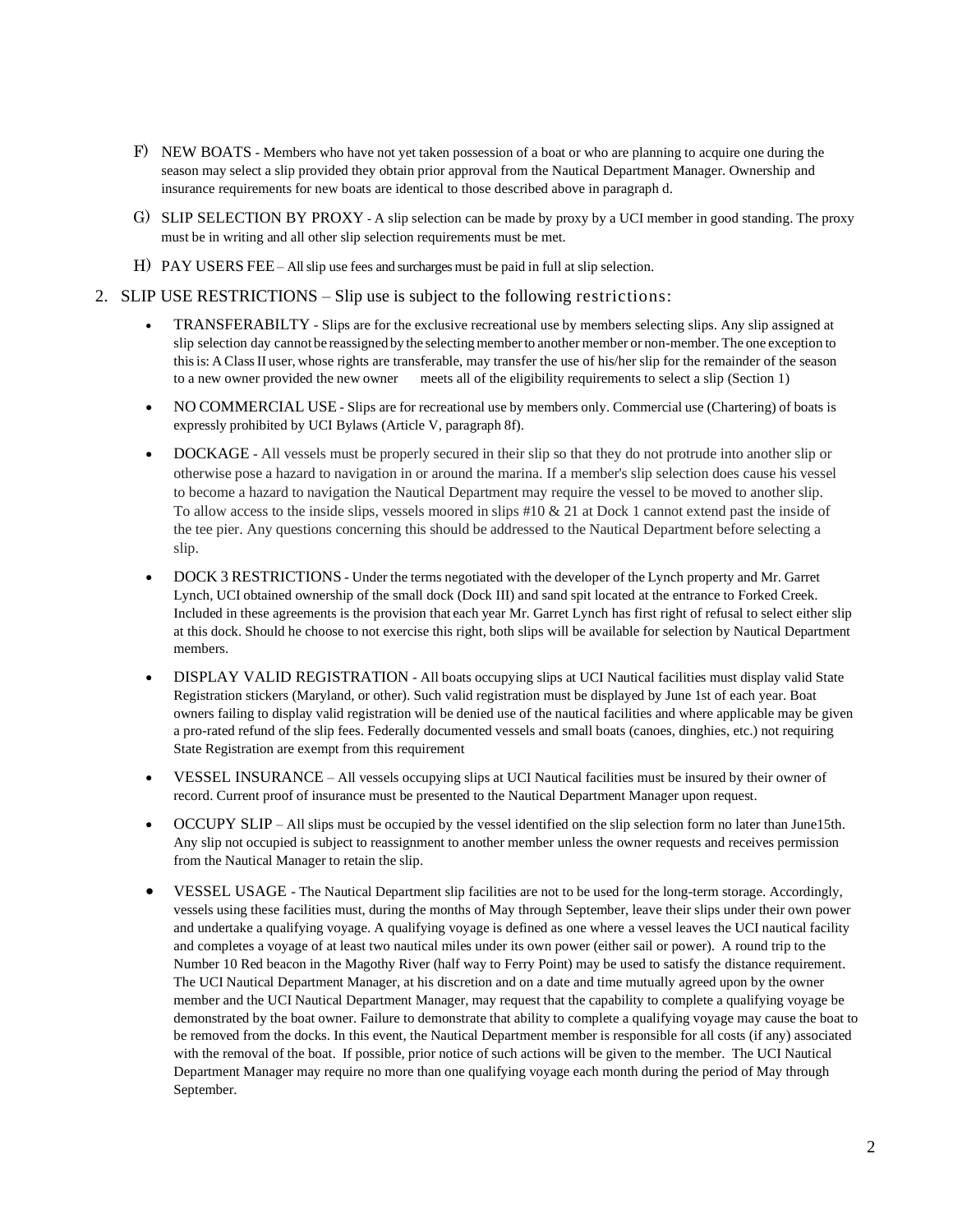- F) NEW BOATS Members who have not yet taken possession of a boat or who are planning to acquire one during the season may select a slip provided they obtain prior approval from the Nautical Department Manager. Ownership and insurance requirements for new boats are identical to those described above in paragraph d.
- G) SLIP SELECTION BY PROXY A slip selection can be made by proxy by a UCI member in good standing. The proxy must be in writing and all other slip selection requirements must be met.
- H) PAY USERS FEE All slip use fees and surcharges must be paid in full at slip selection.

## 2. SLIP USE RESTRICTIONS – Slip use is subject to the following restrictions:

- TRANSFERABILTY Slips are for the exclusive recreational use by members selecting slips. Any slip assigned at slip selection day cannot be reassigned by the selecting member to another member or non-member. The one exception to thisis: A ClassII user, whose rights are transferable, may transfer the use of his/her slip for the remainder of the season to a new owner provided the new owner meets all of the eligibility requirements to select a slip (Section 1)
- NO COMMERCIAL USE Slips are for recreational use by members only. Commercial use (Chartering) of boats is expressly prohibited by UCI Bylaws (Article V, paragraph 8f).
- DOCKAGE All vessels must be properly secured in their slip so that they do not protrude into another slip or otherwise pose a hazard to navigation in or around the marina. If a member's slip selection does cause his vessel to become a hazard to navigation the Nautical Department may require the vessel to be moved to another slip. To allow access to the inside slips, vessels moored in slips #10 & 21 at Dock 1 cannot extend past the inside of the tee pier. Any questions concerning this should be addressed to the Nautical Department before selecting a slip.
- DOCK 3 RESTRICTIONS Under the terms negotiated with the developer of the Lynch property and Mr. Garret Lynch, UCI obtained ownership of the small dock (Dock III) and sand spit located at the entrance to Forked Creek. Included in these agreements is the provision that each year Mr. Garret Lynch has first right of refusal to select either slip at this dock. Should he choose to not exercise this right, both slips will be available for selection by Nautical Department members.
- DISPLAY VALID REGISTRATION All boats occupying slips at UCI Nautical facilities must display valid State Registration stickers (Maryland, or other). Such valid registration must be displayed by June 1st of each year. Boat owners failing to display valid registration will be denied use of the nautical facilities and where applicable may be given a pro-rated refund of the slip fees. Federally documented vessels and small boats (canoes, dinghies, etc.) not requiring State Registration are exempt from this requirement
- VESSEL INSURANCE All vessels occupying slips at UCI Nautical facilities must be insured by their owner of record. Current proof of insurance must be presented to the Nautical Department Manager upon request.
- OCCUPY SLIP All slips must be occupied by the vessel identified on the slip selection form no later than June15th. Any slip not occupied is subject to reassignment to another member unless the owner requests and receives permission from the Nautical Manager to retain the slip.
- VESSEL USAGE The Nautical Department slip facilities are not to be used for the long-term storage. Accordingly, vessels using these facilities must, during the months of May through September, leave their slips under their own power and undertake a qualifying voyage. A qualifying voyage is defined as one where a vessel leaves the UCI nautical facility and completes a voyage of at least two nautical miles under its own power (either sail or power). A round trip to the Number 10 Red beacon in the Magothy River (half way to Ferry Point) may be used to satisfy the distance requirement. The UCI Nautical Department Manager, at his discretion and on a date and time mutually agreed upon by the owner member and the UCI Nautical Department Manager, may request that the capability to complete a qualifying voyage be demonstrated by the boat owner. Failure to demonstrate that ability to complete a qualifying voyage may cause the boat to be removed from the docks. In this event, the Nautical Department member is responsible for all costs (if any) associated with the removal of the boat. If possible, prior notice of such actions will be given to the member. The UCI Nautical Department Manager may require no more than one qualifying voyage each month during the period of May through September.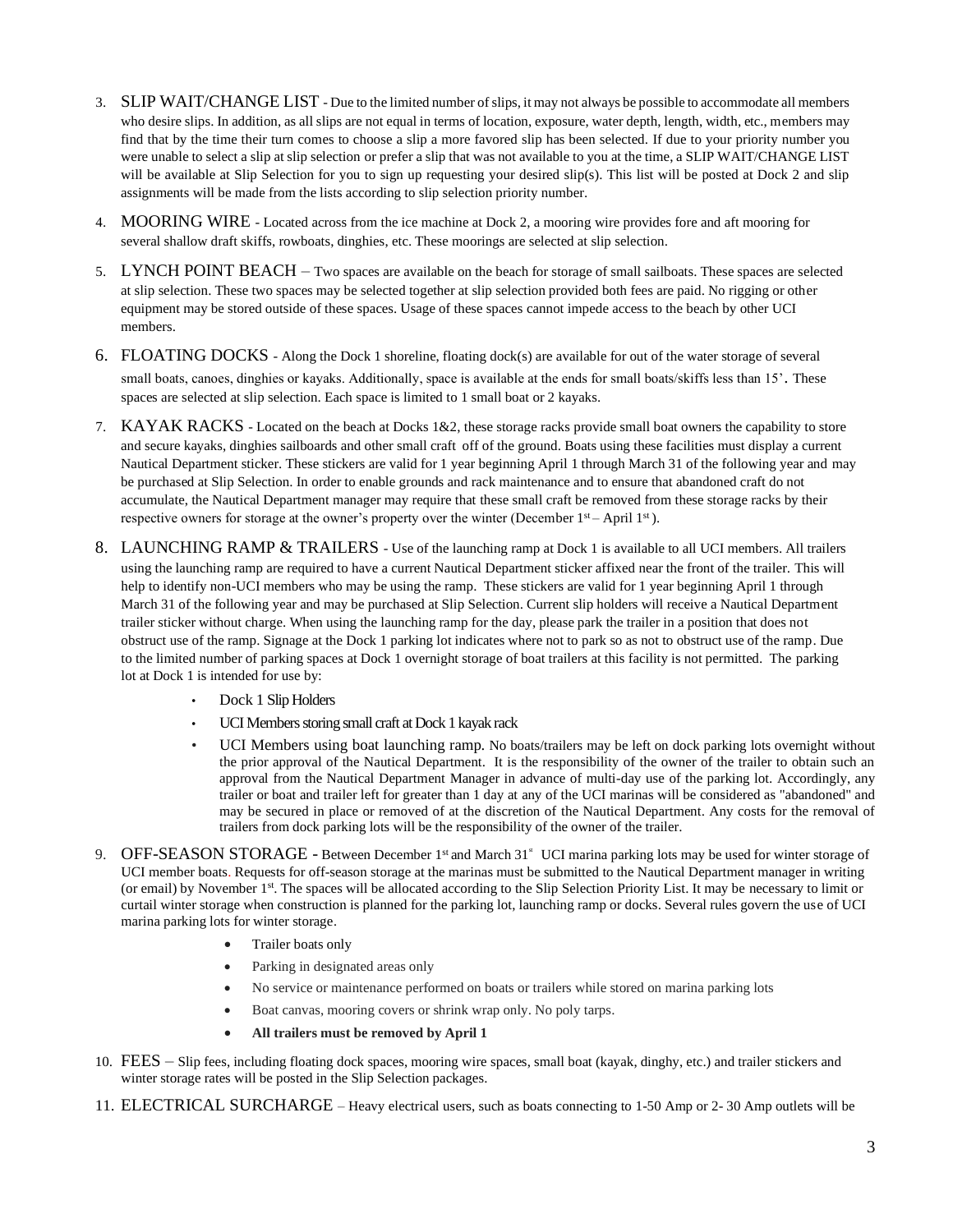- 3. SLIP WAIT/CHANGE LIST Due to the limited number of slips, it may not always be possible to accommodate all members who desire slips. In addition, as all slips are not equal in terms of location, exposure, water depth, length, width, etc., members may find that by the time their turn comes to choose a slip a more favored slip has been selected. If due to your priority number you were unable to select a slip at slip selection or prefer a slip that was not available to you at the time, a SLIP WAIT/CHANGE LIST will be available at Slip Selection for you to sign up requesting your desired slip(s). This list will be posted at Dock 2 and slip assignments will be made from the lists according to slip selection priority number.
- 4. MOORING WIRE Located across from the ice machine at Dock 2, a mooring wire provides fore and aft mooring for several shallow draft skiffs, rowboats, dinghies, etc. These moorings are selected at slip selection.
- 5. LYNCH POINT BEACH Two spaces are available on the beach for storage of small sailboats. These spaces are selected at slip selection. These two spaces may be selected together at slip selection provided both fees are paid. No rigging or other equipment may be stored outside of these spaces. Usage of these spaces cannot impede access to the beach by other UCI members.
- 6. FLOATING DOCKS Along the Dock 1 shoreline, floating dock(s) are available for out of the water storage of several small boats, canoes, dinghies or kayaks. Additionally, space is available at the ends for small boats/skiffs less than 15'. These spaces are selected at slip selection. Each space is limited to 1 small boat or 2 kayaks.
- 7. KAYAK RACKS Located on the beach at Docks 1&2, these storage racks provide small boat owners the capability to store and secure kayaks, dinghies sailboards and other small craft off of the ground. Boats using these facilities must display a current Nautical Department sticker. These stickers are valid for 1 year beginning April 1 through March 31 of the following year and may be purchased at Slip Selection. In order to enable grounds and rack maintenance and to ensure that abandoned craft do not accumulate, the Nautical Department manager may require that these small craft be removed from these storage racks by their respective owners for storage at the owner's property over the winter (December  $1<sup>st</sup>$  – April  $1<sup>st</sup>$ ).
- 8. LAUNCHING RAMP & TRAILERS Use of the launching ramp at Dock 1 is available to all UCI members. All trailers using the launching ramp are required to have a current Nautical Department sticker affixed near the front of the trailer. This will help to identify non-UCI members who may be using the ramp. These stickers are valid for 1 year beginning April 1 through March 31 of the following year and may be purchased at Slip Selection. Current slip holders will receive a Nautical Department trailer sticker without charge. When using the launching ramp for the day, please park the trailer in a position that does not obstruct use of the ramp. Signage at the Dock 1 parking lot indicates where not to park so as not to obstruct use of the ramp. Due to the limited number of parking spaces at Dock 1 overnight storage of boat trailers at this facility is not permitted. The parking lot at Dock 1 is intended for use by:
	- Dock 1 Slip Holders
	- UCI Members storing small craft at Dock 1 kayak rack
	- UCI Members using boat launching ramp. No boats/trailers may be left on dock parking lots overnight without the prior approval of the Nautical Department. It is the responsibility of the owner of the trailer to obtain such an approval from the Nautical Department Manager in advance of multi-day use of the parking lot. Accordingly, any trailer or boat and trailer left for greater than 1 day at any of the UCI marinas will be considered as "abandoned" and may be secured in place or removed of at the discretion of the Nautical Department. Any costs for the removal of trailers from dock parking lots will be the responsibility of the owner of the trailer.
- 9. OFF-SEASON STORAGE Between December 1<sup>st</sup> and March 31<sup>\*</sup> UCI marina parking lots may be used for winter storage of UCI member boats. Requests for off-season storage at the marinas must be submitted to the Nautical Department manager in writing (or email) by November 1<sup>st</sup>. The spaces will be allocated according to the Slip Selection Priority List. It may be necessary to limit or curtail winter storage when construction is planned for the parking lot, launching ramp or docks. Several rules govern the use of UCI marina parking lots for winter storage.
	- Trailer boats only
	- Parking in designated areas only
	- No service or maintenance performed on boats or trailers while stored on marina parking lots
	- Boat canvas, mooring covers or shrink wrap only. No poly tarps.
	- **All trailers must be removed by April 1**
- 10. FEES Slip fees, including floating dock spaces, mooring wire spaces, small boat (kayak, dinghy, etc.) and trailer stickers and winter storage rates will be posted in the Slip Selection packages.
- 11. ELECTRICAL SURCHARGE Heavy electrical users, such as boats connecting to 1-50 Amp or 2- 30 Amp outlets will be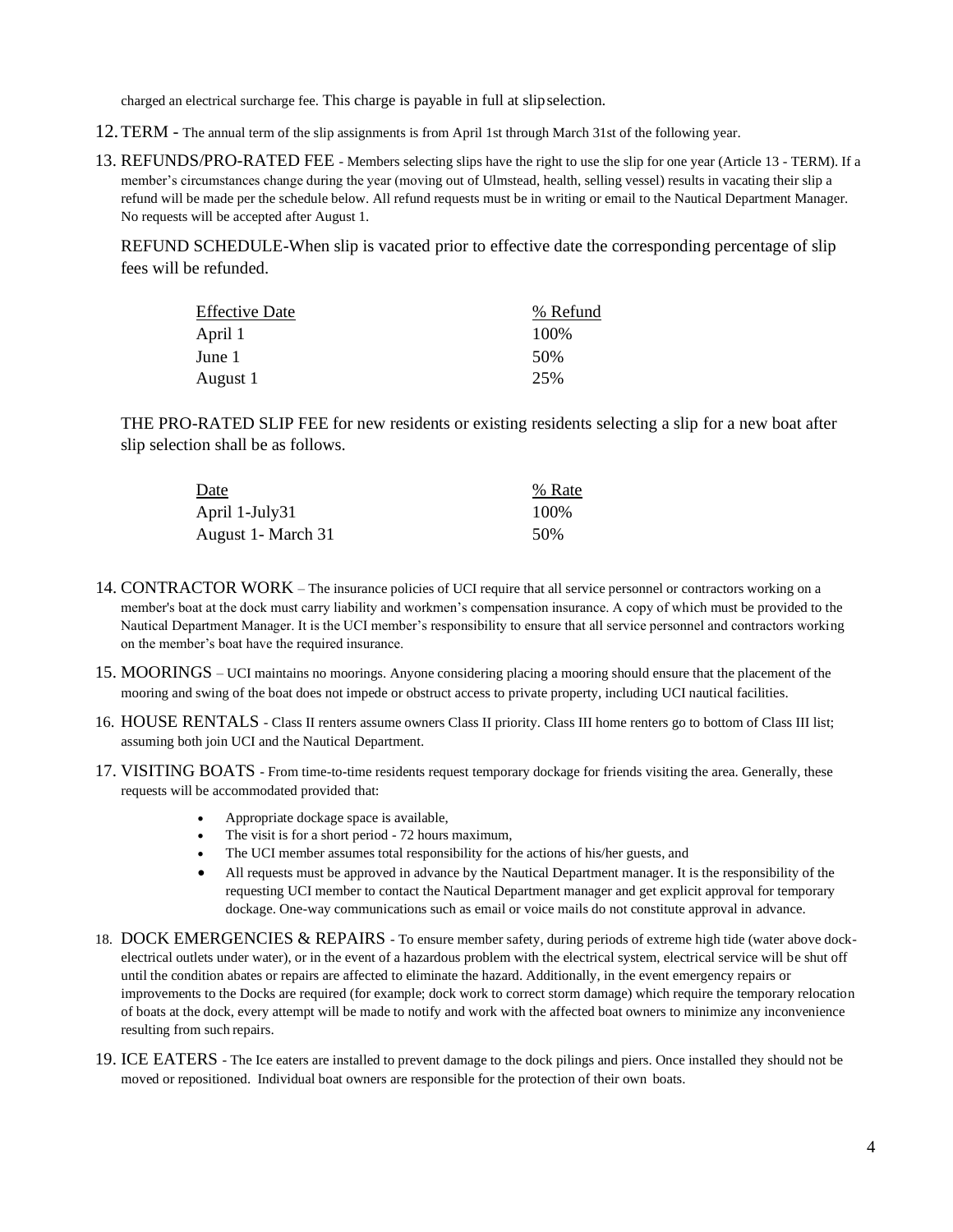charged an electrical surcharge fee. This charge is payable in full at slipselection.

- 12.TERM The annual term of the slip assignments is from April 1st through March 31st of the following year.
- 13. REFUNDS/PRO-RATED FEE Members selecting slips have the right to use the slip for one year (Article 13 TERM). If a member's circumstances change during the year (moving out of Ulmstead, health, selling vessel) results in vacating their slip a refund will be made per the schedule below. All refund requests must be in writing or email to the Nautical Department Manager. No requests will be accepted after August 1.

REFUND SCHEDULE-When slip is vacated prior to effective date the corresponding percentage of slip fees will be refunded.

| <b>Effective Date</b> | % Refund |
|-----------------------|----------|
| April 1               | 100%     |
| June 1                | 50%      |
| August 1              | 25%      |

THE PRO-RATED SLIP FEE for new residents or existing residents selecting a slip for a new boat after slip selection shall be as follows.

| Date                | % Rate |
|---------------------|--------|
| April 1-July31      | 100%   |
| August 1 - March 31 | 50%    |

- 14. CONTRACTOR WORK The insurance policies of UCI require that all service personnel or contractors working on a member's boat at the dock must carry liability and workmen's compensation insurance. A copy of which must be provided to the Nautical Department Manager. It is the UCI member's responsibility to ensure that all service personnel and contractors working on the member's boat have the required insurance.
- 15. MOORINGS UCI maintains no moorings. Anyone considering placing a mooring should ensure that the placement of the mooring and swing of the boat does not impede or obstruct access to private property, including UCI nautical facilities.
- 16. HOUSE RENTALS Class II renters assume owners Class II priority. Class III home renters go to bottom of Class III list; assuming both join UCI and the Nautical Department.
- 17. VISITING BOATS From time-to-time residents request temporary dockage for friends visiting the area. Generally, these requests will be accommodated provided that:
	- Appropriate dockage space is available,
	- The visit is for a short period 72 hours maximum,
	- The UCI member assumes total responsibility for the actions of his/her guests, and
	- All requests must be approved in advance by the Nautical Department manager. It is the responsibility of the requesting UCI member to contact the Nautical Department manager and get explicit approval for temporary dockage. One-way communications such as email or voice mails do not constitute approval in advance.
- 18. DOCK EMERGENCIES & REPAIRS To ensure member safety, during periods of extreme high tide (water above dockelectrical outlets under water), or in the event of a hazardous problem with the electrical system, electrical service will be shut off until the condition abates or repairs are affected to eliminate the hazard. Additionally, in the event emergency repairs or improvements to the Docks are required (for example; dock work to correct storm damage) which require the temporary relocation of boats at the dock, every attempt will be made to notify and work with the affected boat owners to minimize any inconvenience resulting from such repairs.
- 19. ICE EATERS The Ice eaters are installed to prevent damage to the dock pilings and piers. Once installed they should not be moved or repositioned. Individual boat owners are responsible for the protection of their own boats.